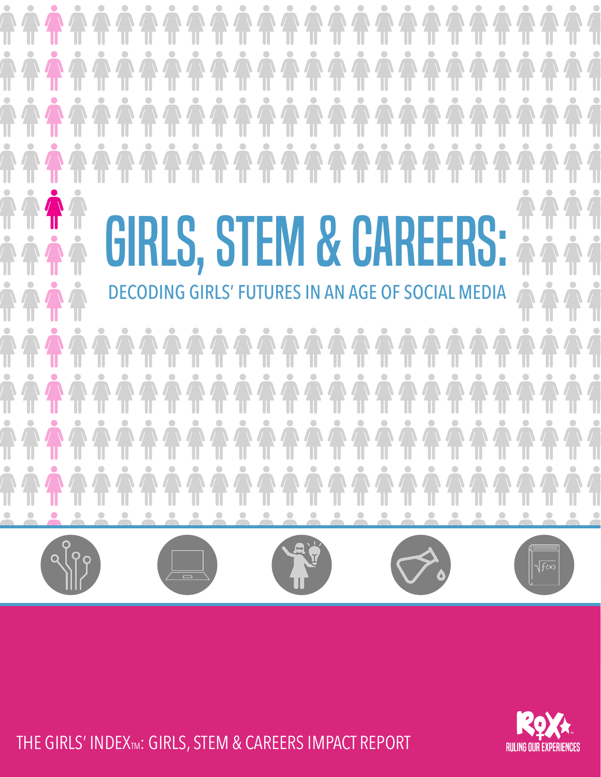

. © 2017 Ruling Our eXperiences, Inc. THE GIRLS' INDEXTM: GIRLS, STEM & CAREERS IMPACT REPORT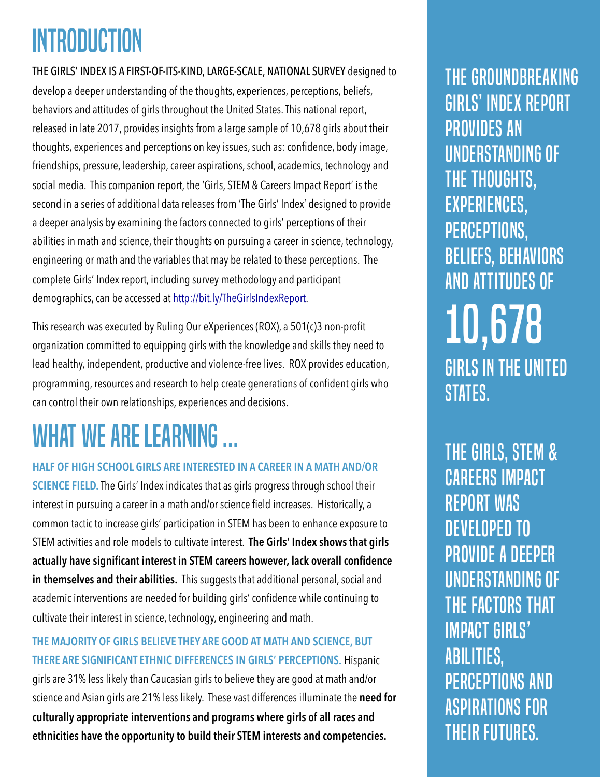## INTRODUCTION

THE GIRLS' INDEX IS A FIRST-OF-ITS-KIND, LARGE-SCALE, NATIONAL SURVEY designed to develop a deeper understanding of the thoughts, experiences, perceptions, beliefs, behaviors and attitudes of girls throughout the United States. This national report, released in late 2017, provides insights from a large sample of 10,678 girls about their thoughts, experiences and perceptions on key issues, such as: confidence, body image, friendships, pressure, leadership, career aspirations, school, academics, technology and social media. This companion report, the 'Girls, STEM & Careers Impact Report' is the second in a series of additional data releases from 'The Girls' Index' designed to provide a deeper analysis by examining the factors connected to girls' perceptions of their abilities in math and science, their thoughts on pursuing a career in science, technology, engineering or math and the variables that may be related to these perceptions. The complete Girls' Index report, including survey methodology and participant demographics, can be accessed at [http://bit.ly/TheGirlsIndexReport.](http://bit.ly/TheGirlsIndexReport)

This research was executed by Ruling Our eXperiences (ROX), a 501(c)3 non-profit organization committed to equipping girls with the knowledge and skills they need to lead healthy, independent, productive and violence-free lives. ROX provides education, programming, resources and research to help create generations of confident girls who can control their own relationships, experiences and decisions.

## What we are learning …

#### **HALF OF HIGH SCHOOL GIRLS ARE INTERESTED IN A CAREER IN A MATH AND/OR**

**SCIENCE FIELD.** The Girls' Index indicates that as girls progress through school their interest in pursuing a career in a math and/or science field increases. Historically, a common tactic to increase girls' participation in STEM has been to enhance exposure to STEM activities and role models to cultivate interest. **The Girls' Index shows that girls actually have significant interest in STEM careers however, lack overall confidence in themselves and their abilities.** This suggests that additional personal, social and academic interventions are needed for building girls' confidence while continuing to cultivate their interest in science, technology, engineering and math.

**THE MAJORITY OF GIRLS BELIEVE THEY ARE GOOD AT MATH AND SCIENCE, BUT THERE ARE SIGNIFICANT ETHNIC DIFFERENCES IN GIRLS' PERCEPTIONS.** Hispanic girls are 31% less likely than Caucasian girls to believe they are good at math and/or science and Asian girls are 21% less likely. These vast differences illuminate the **need for culturally appropriate interventions and programs where girls of all races and ethnicities have the opportunity to build their STEM interests and competencies.**

the groundbreaking girls' index report provides an understanding of the thoughts, experiences, perceptions, beliefs, behaviors and attitudes of 10,678 girls in the United STATES.

the girls, STEM & Careers impact report was developed to provide a deeper understanding of the factors THAT IMPACT girls' abilities, perceptions and aspirations for their futures.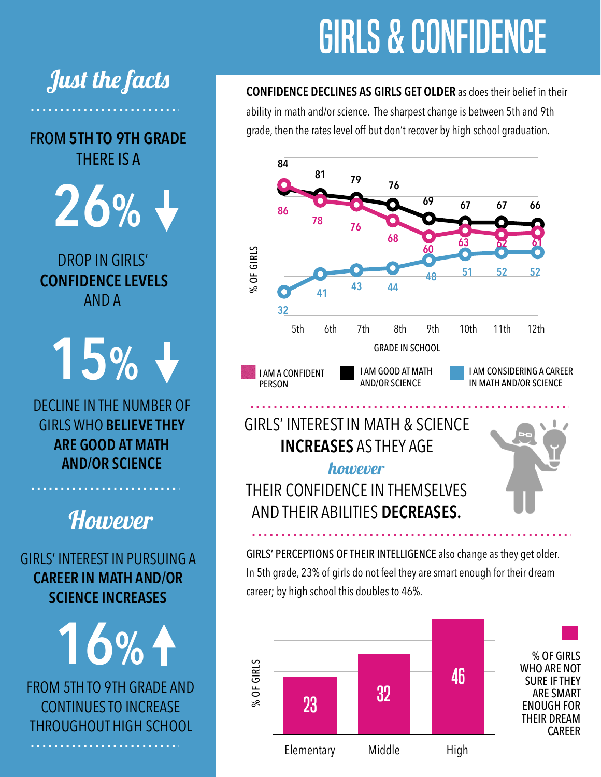# girls & confidence

**CONFIDENCE DECLINES AS GIRLS GET OLDER** as does their belief in their ability in math and/or science. The sharpest change is between 5th and 9th grade, then the rates level off but don't recover by high school graduation.



#### GIRLS' INTEREST IN MATH & SCIENCE **INCREASES** AS THEY AGE however

THEIR CONFIDENCE IN THEMSELVES AND THEIR ABILITIES **DECREASES.**



GIRLS' PERCEPTIONS OF THEIR INTELLIGENCE also change as they get older. In 5th grade, 23% of girls do not feel they are smart enough for their dream career; by high school this doubles to 46%.



Just the facts

FROM **5TH TO 9TH GRADE** THERE IS A

**26%**

DROP IN GIRLS' **CONFIDENCE LEVELS**  AND A

**15%**

DECLINE IN THE NUMBER OF GIRLS WHO **BELIEVE THEY ARE GOOD AT MATH AND/OR SCIENCE**

**However** 

GIRLS' INTEREST IN PURSUING A **CAREER IN MATH AND/OR SCIENCE INCREASES**

**16%** FROM 5TH TO 9TH GRADE AND CONTINUES TO INCREASE THROUGHOUT HIGH SCHOOL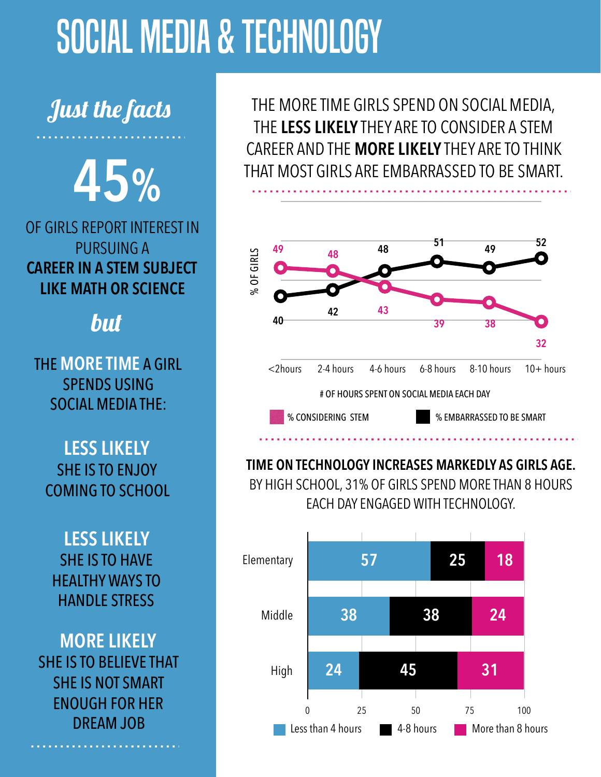# social media & technology

## Just the facts

THERE IS A **45%**

**26%**<br>IRLS REPORT IN DROP IN GIRLS' **CAREER IN A STEM SUBJECT LIKE MATH OR SCIENCE** AND A OF GIRLS REPORT INTEREST IN PURSUING A

### but

**15 MORE TIME**<br>SPENDS USII  $SOC$ IAL MEDIA THE:  $\blacksquare$ THE **MORE TIME** A GIRL SPENDS USING

**ALESS LIKELY SHE IS TO ENJOY** COMING TO SCHOOL

GIRLS INTEREST IN PURSUING A SHE IS TO HAVE **CAREER IN MAYS TO HANDLE STRESS**  $\frac{1}{2}$ **LESS LIKELY**

**12 MORE LIKEL**<br>E IS TO BELIEVE SHE IS NOT SMART ENOUGH FOR HER THROUGHOUT DREAM JOB **MORE LIKELY** SHE IS TO BELIEVE THAT

THE MORE TIME GIRLS SPEND ON SOCIAL MEDIA, THE **LESS LIKELY** THEY ARE TO CONSIDER A STEM CAREER AND THE **MORE LIKELY** THEY ARE TO THINK THAT MOST GIRLS ARE EMBARRASSED TO BE SMART.



**TIME ON TECHNOLOGY INCREASES MARKEDLY AS GIRLS AGE.**  BY HIGH SCHOOL, 31% OF GIRLS SPEND MORE THAN 8 HOURS EACH DAY ENGAGED WITH TECHNOLOGY.

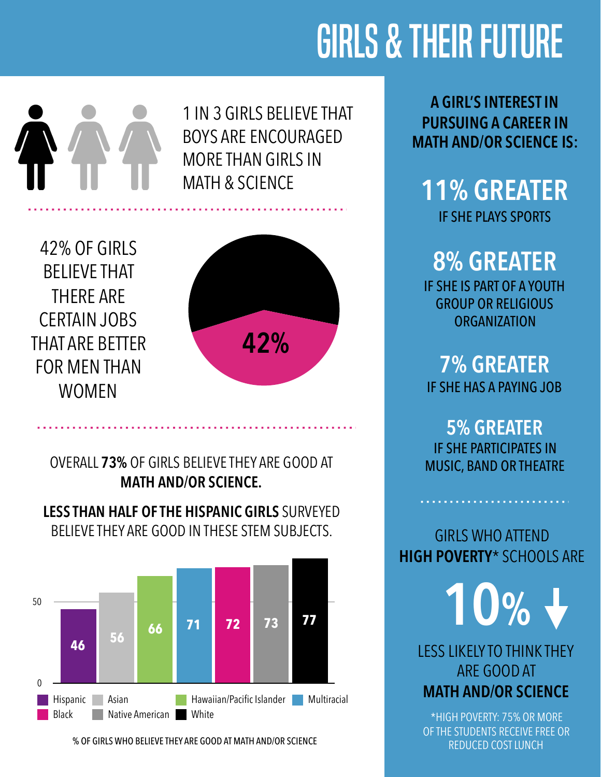# GIRLS & THEIR FUTURE



1 IN 3 GIRLS BELIEVE THAT BOYS ARE ENCOURAGED MORE THAN GIRLS IN MATH & SCIENCE

AT ARE BETTE<br>)R MEN THAN<br>MOMEN 42% OF GIRLS BELIEVE THAT THERE ARE CERTAIN JOBS THAT ARE BETTER FOR MEN THAN WOMEN



OVERALL **73%** OF GIRLS BELIEVE THEY ARE GOOD AT **MATH AND/OR SCIENCE.**

**LESS THAN HALF OF THE HISPANIC GIRLS** SURVEYED BELIEVE THEY ARE GOOD IN THESE STEM SUBJECTS.



% OF GIRLS WHO BELIEVE THEY ARE GOOD AT MATH AND/OR SCIENCE

**A GIRL'S INTEREST IN PURSUING A CAREER IN MATH AND/OR SCIENCE IS:** 

**11% GREATER** 

IF SHE PLAYS SPORTS

**8% GREATER** 

IF SHE IS PART OF A YOUTH GROUP OR RELIGIOUS **ORGANIZATION** 

**7% GREATER**  IF SHE HAS A PAYING JOB

**5% GREATER**  IF SHE PARTICIPATES IN MUSIC, BAND OR THEATRE

GIRLS WHO ATTEND **HIGH POVERTY**\* SCHOOLS ARE

**10%**

LESS LIKELY TO THINK THEY ARE GOOD AT **MATH AND/OR SCIENCE** 

\*HIGH POVERTY: 75% OR MORE OF THE STUDENTS RECEIVE FREE OR REDUCED COST LUNCH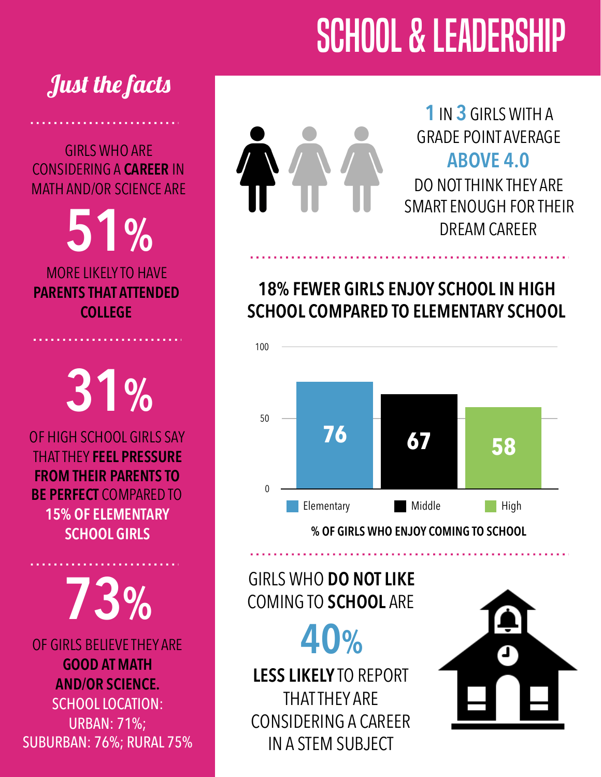# SCHOOL & LEADERSHIP

## Just the facts

GIRLS WHO ARE CONSIDERING A **CAREER** IN MATH AND/OR SCIENCE ARE

**51%**

MORE LIKELY TO HAVE **PARENTS THAT ATTENDED COLLEGE**

**31%**

OF HIGH SCHOOL GIRLS SAY THAT THEY **FEEL PRESSURE FROM THEIR PARENTS TO BE PERFECT** COMPARED TO **15% OF ELEMENTARY SCHOOL GIRLS**

**73%**

OF GIRLS BELIEVE THEY ARE **GOOD AT MATH AND/OR SCIENCE.**  SCHOOL LOCATION: URBAN: 71%; SUBURBAN: 76%; RURAL 75%

**1** IN **3** GIRLS WITH A GRADE POINT AVERAGE **ABOVE 4.0** DO NOT THINK THEY ARE SMART ENOUGH FOR THEIR DREAM CAREER

### **18% FEWER GIRLS ENJOY SCHOOL IN HIGH SCHOOL COMPARED TO ELEMENTARY SCHOOL**



GIRLS WHO **DO NOT LIKE** COMING TO **SCHOOL** ARE

**40%**

**LESS LIKELY** TO REPORT THAT THEY ARE CONSIDERING A CAREER IN A STEM SUBJECT

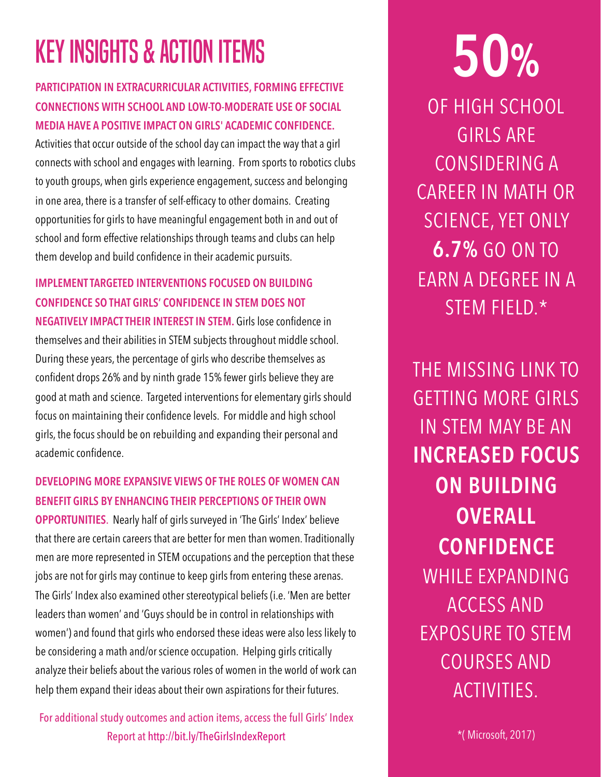## key insights & action items

#### **PARTICIPATION IN EXTRACURRICULAR ACTIVITIES, FORMING EFFECTIVE CONNECTIONS WITH SCHOOL AND LOW-TO-MODERATE USE OF SOCIAL MEDIA HAVE A POSITIVE IMPACT ON GIRLS' ACADEMIC CONFIDENCE.**

Activities that occur outside of the school day can impact the way that a girl connects with school and engages with learning. From sports to robotics clubs to youth groups, when girls experience engagement, success and belonging in one area, there is a transfer of self-efficacy to other domains. Creating opportunities for girls to have meaningful engagement both in and out of school and form effective relationships through teams and clubs can help them develop and build confidence in their academic pursuits.

**IMPLEMENT TARGETED INTERVENTIONS FOCUSED ON BUILDING CONFIDENCE SO THAT GIRLS' CONFIDENCE IN STEM DOES NOT NEGATIVELY IMPACT THEIR INTEREST IN STEM.** Girls lose confidence in themselves and their abilities in STEM subjects throughout middle school. During these years, the percentage of girls who describe themselves as confident drops 26% and by ninth grade 15% fewer girls believe they are good at math and science. Targeted interventions for elementary girls should focus on maintaining their confidence levels. For middle and high school girls, the focus should be on rebuilding and expanding their personal and academic confidence.

#### **DEVELOPING MORE EXPANSIVE VIEWS OF THE ROLES OF WOMEN CAN BENEFIT GIRLS BY ENHANCING THEIR PERCEPTIONS OF THEIR OWN**

**OPPORTUNITIES**. Nearly half of girls surveyed in 'The Girls' Index' believe that there are certain careers that are better for men than women. Traditionally men are more represented in STEM occupations and the perception that these jobs are not for girls may continue to keep girls from entering these arenas. The Girls' Index also examined other stereotypical beliefs (i.e. 'Men are better leaders than women' and 'Guys should be in control in relationships with women') and found that girls who endorsed these ideas were also less likely to be considering a math and/or science occupation. Helping girls critically analyze their beliefs about the various roles of women in the world of work can help them expand their ideas about their own aspirations for their futures.

For additional study outcomes and action items, access the full Girls' Index Report at <http://bit.ly/TheGirlsIndexReport>

OF HIGH SCHOOL GIRLS ARE CONSIDERING A CAREER IN MATH OR SCIENCE, YET ONLY **6.7%** GO ON TO EARN A DEGREE IN A STEM FIELD.\* **50%**

THE MISSING LINK TO GETTING MORE GIRLS IN STEM MAY BE AN **INCREASED FOCUS ON BUILDING OVERALL CONFIDENCE** WHILE EXPANDING ACCESS AND EXPOSURE TO STEM COURSES AND ACTIVITIES.

\*( Microsoft, 2017)